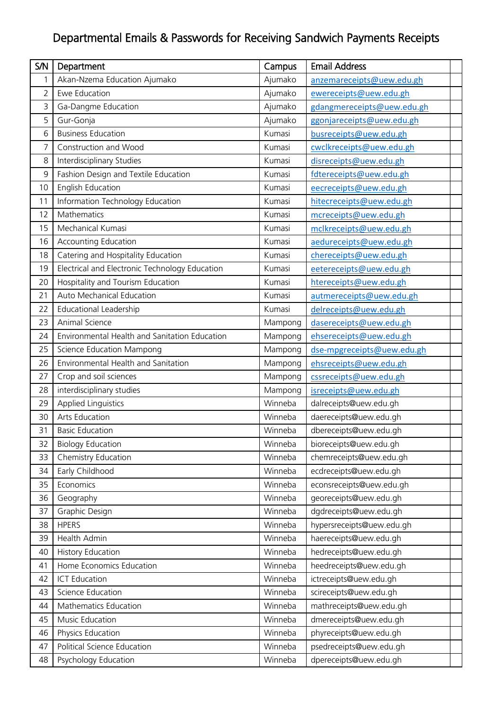## Departmental Emails & Passwords for Receiving Sandwich Payments Receipts

| S/N | Department                                     | Campus  | <b>Email Address</b>       |  |
|-----|------------------------------------------------|---------|----------------------------|--|
| 1   | Akan-Nzema Education Ajumako                   | Ajumako | anzemareceipts@uew.edu.gh  |  |
| 2   | Ewe Education                                  | Ajumako | ewereceipts@uew.edu.gh     |  |
| 3   | Ga-Dangme Education                            | Ajumako | gdangmereceipts@uew.edu.gh |  |
| 5   | Gur-Gonja                                      | Ajumako | ggonjareceipts@uew.edu.gh  |  |
| 6   | <b>Business Education</b>                      | Kumasi  | busreceipts@uew.edu.gh     |  |
| 7   | Construction and Wood                          | Kumasi  | cwclkreceipts@uew.edu.gh   |  |
| 8   | Interdisciplinary Studies                      | Kumasi  | disreceipts@uew.edu.gh     |  |
| 9   | Fashion Design and Textile Education           | Kumasi  | fdtereceipts@uew.edu.gh    |  |
| 10  | English Education                              | Kumasi  | eecreceipts@uew.edu.gh     |  |
| 11  | Information Technology Education               | Kumasi  | hitecreceipts@uew.edu.gh   |  |
| 12  | Mathematics                                    | Kumasi  | mcreceipts@uew.edu.gh      |  |
| 15  | Mechanical Kumasi                              | Kumasi  | mclkreceipts@uew.edu.gh    |  |
| 16  | <b>Accounting Education</b>                    | Kumasi  | aedureceipts@uew.edu.gh    |  |
| 18  | Catering and Hospitality Education             | Kumasi  | chereceipts@uew.edu.gh     |  |
| 19  | Electrical and Electronic Technology Education | Kumasi  | eetereceipts@uew.edu.gh    |  |
| 20  | Hospitality and Tourism Education              | Kumasi  | htereceipts@uew.edu.gh     |  |
| 21  | Auto Mechanical Education                      | Kumasi  | autmereceipts@uew.edu.gh   |  |
| 22  | <b>Educational Leadership</b>                  | Kumasi  | delreceipts@uew.edu.gh     |  |
| 23  | Animal Science                                 | Mampong | dasereceipts@uew.edu.gh    |  |
| 24  | Environmental Health and Sanitation Education  | Mampong | ehsereceipts@uew.edu.gh    |  |
| 25  | Science Education Mampong                      | Mampong | dse-mpgreceipts@uew.edu.gh |  |
| 26  | Environmental Health and Sanitation            | Mampong | ehsreceipts@uew.edu.gh     |  |
| 27  | Crop and soil sciences                         | Mampong | cssreceipts@uew.edu.gh     |  |
| 28  | interdisciplinary studies                      | Mampong | isreceipts@uew.edu.gh      |  |
| 29  | <b>Applied Linguistics</b>                     | Winneba | dalreceipts@uew.edu.gh     |  |
| 30  | Arts Education                                 | Winneba | daereceipts@uew.edu.gh     |  |
| 31  | <b>Basic Education</b>                         | Winneba | dbereceipts@uew.edu.gh     |  |
| 32  | <b>Biology Education</b>                       | Winneba | bioreceipts@uew.edu.gh     |  |
| 33  | Chemistry Education                            | Winneba | chemreceipts@uew.edu.gh    |  |
| 34  | Early Childhood                                | Winneba | ecdreceipts@uew.edu.gh     |  |
| 35  | Economics                                      | Winneba | econsreceipts@uew.edu.gh   |  |
| 36  | Geography                                      | Winneba | georeceipts@uew.edu.gh     |  |
| 37  | Graphic Design                                 | Winneba | dgdreceipts@uew.edu.gh     |  |
| 38  | <b>HPERS</b>                                   | Winneba | hypersreceipts@uew.edu.gh  |  |
| 39  | Health Admin                                   | Winneba | haereceipts@uew.edu.gh     |  |
| 40  | <b>History Education</b>                       | Winneba | hedreceipts@uew.edu.gh     |  |
| 41  | Home Economics Education                       | Winneba | heedreceipts@uew.edu.gh    |  |
| 42  | <b>ICT Education</b>                           | Winneba | ictreceipts@uew.edu.gh     |  |
| 43  | Science Education                              | Winneba | scireceipts@uew.edu.gh     |  |
| 44  | Mathematics Education                          | Winneba | mathreceipts@uew.edu.gh    |  |
| 45  | Music Education                                | Winneba | dmereceipts@uew.edu.gh     |  |
| 46  | Physics Education                              | Winneba | phyreceipts@uew.edu.gh     |  |
| 47  | Political Science Education                    | Winneba | psedreceipts@uew.edu.gh    |  |
| 48  | Psychology Education                           | Winneba | dpereceipts@uew.edu.gh     |  |